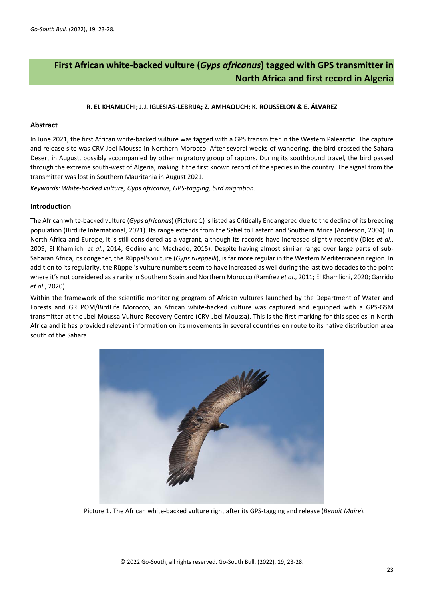# **First African white-backed vulture (***Gyps africanus***) tagged with GPS transmitter in North Africa and first record in Algeria**

# **R. EL KHAMLICHI; J.J. IGLESIAS-LEBRIJA; Z. AMHAOUCH; K. ROUSSELON & E. ÁLVAREZ**

# **Abstract**

In June 2021, the first African white-backed vulture was tagged with a GPS transmitter in the Western Palearctic. The capture and release site was CRV-Jbel Moussa in Northern Morocco. After several weeks of wandering, the bird crossed the Sahara Desert in August, possibly accompanied by other migratory group of raptors. During its southbound travel, the bird passed through the extreme south-west of Algeria, making it the first known record of the species in the country. The signal from the transmitter was lost in Southern Mauritania in August 2021.

*Keywords: White-backed vulture, Gyps africanus, GPS-tagging, bird migration.*

### **Introduction**

The African white-backed vulture (*Gyps africanus*) (Picture 1) is listed as Critically Endangered due to the decline of its breeding population (Birdlife International, 2021). Its range extends from the Sahel to Eastern and Southern Africa (Anderson, 2004). In North Africa and Europe, it is still considered as a vagrant, although its records have increased slightly recently (Dies *et al*., 2009; El Khamlichi *et al*., 2014; Godino and Machado, 2015). Despite having almost similar range over large parts of sub-Saharan Africa, its congener, the Rüppel's vulture (*Gyps rueppelli*), is far more regular in the Western Mediterranean region. In addition to its regularity, the Rüppel's vulture numbers seem to have increased as well during the last two decades to the point where it's not considered as a rarity in Southern Spain and Northern Morocco (Ramírez *et al*., 2011; El Khamlichi, 2020; Garrido *et al*., 2020).

Within the framework of the scientific monitoring program of African vultures launched by the Department of Water and Forests and GREPOM/BirdLife Morocco, an African white-backed vulture was captured and equipped with a GPS-GSM transmitter at the Jbel Moussa Vulture Recovery Centre (CRV-Jbel Moussa). This is the first marking for this species in North Africa and it has provided relevant information on its movements in several countries en route to its native distribution area south of the Sahara.



Picture 1. The African white-backed vulture right after its GPS-tagging and release (*Benoit Maire*)*.*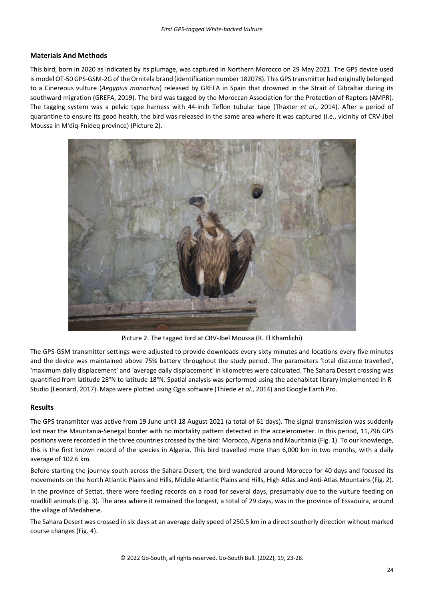# **Materials And Methods**

This bird, born in 2020 as indicated by its plumage, was captured in Northern Morocco on 29 May 2021. The GPS device used is model OT-50 GPS-GSM-2G of the Ornitela brand (identification number 182078). This GPS transmitter had originally belonged to a Cinereous vulture (*Aegypius monachus*) released by GREFA in Spain that drowned in the Strait of Gibraltar during its southward migration (GREFA, 2019). The bird was tagged by the Moroccan Association for the Protection of Raptors (AMPR). The tagging system was a pelvic type harness with 44-inch Teflon tubular tape (Thaxter *et al*., 2014). After a period of quarantine to ensure its good health, the bird was released in the same area where it was captured (i.e., vicinity of CRV-Jbel Moussa in M'diq-Fnideq province) (Picture 2).



Picture 2. The tagged bird at CRV-Jbel Moussa (R. El Khamlichi)

The GPS-GSM transmitter settings were adjusted to provide downloads every sixty minutes and locations every five minutes and the device was maintained above 75% battery throughout the study period. The parameters 'total distance travelled', 'maximum daily displacement' and 'average daily displacement' in kilometres were calculated. The Sahara Desert crossing was quantified from latitude 28°N to latitude 18°N. Spatial analysis was performed using the adehabitat library implemented in R-Studio (Leonard, 2017). Maps were plotted using Qgis software (Thiede *et al*., 2014) and Google Earth Pro.

### **Results**

The GPS transmitter was active from 19 June until 18 August 2021 (a total of 61 days). The signal transmission was suddenly lost near the Mauritania-Senegal border with no mortality pattern detected in the accelerometer. In this period, 11,796 GPS positions were recorded in the three countries crossed by the bird: Morocco, Algeria and Mauritania (Fig. 1). To our knowledge, this is the first known record of the species in Algeria. This bird travelled more than 6,000 km in two months, with a daily average of 102.6 km.

Before starting the journey south across the Sahara Desert, the bird wandered around Morocco for 40 days and focused its movements on the North Atlantic Plains and Hills, Middle Atlantic Plains and Hills, High Atlas and Anti-Atlas Mountains (Fig. 2).

In the province of Settat, there were feeding records on a road for several days, presumably due to the vulture feeding on roadkill animals (Fig. 3). The area where it remained the longest, a total of 29 days, was in the province of Essaouira, around the village of Medahene.

The Sahara Desert was crossed in six days at an average daily speed of 250.5 km in a direct southerly direction without marked course changes (Fig. 4).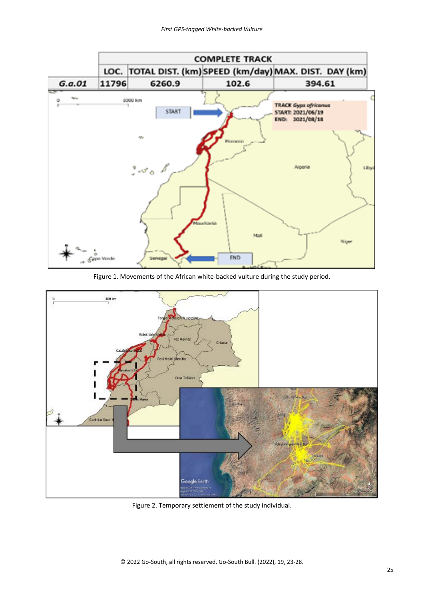

Figure 1. Movements of the African white-backed vulture during the study period.



Figure 2. Temporary settlement of the study individual.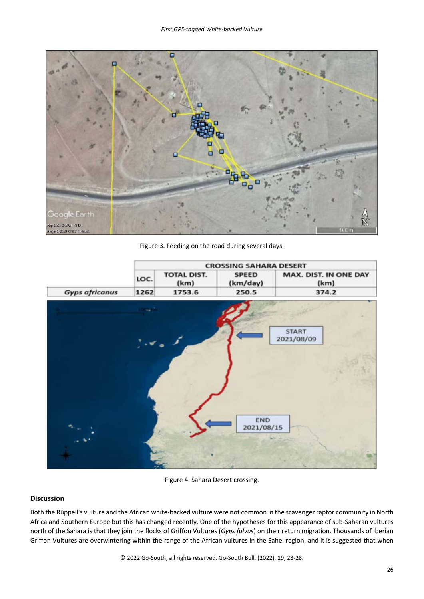

Figure 3. Feeding on the road during several days.



Figure 4. Sahara Desert crossing.

# **Discussion**

Both the Rüppell's vulture and the African white-backed vulture were not common in the scavenger raptor community in North Africa and Southern Europe but this has changed recently. One of the hypotheses for this appearance of sub-Saharan vultures north of the Sahara is that they join the flocks of Griffon Vultures (*Gyps fulvus*) on their return migration. Thousands of Iberian Griffon Vultures are overwintering within the range of the African vultures in the Sahel region, and it is suggested that when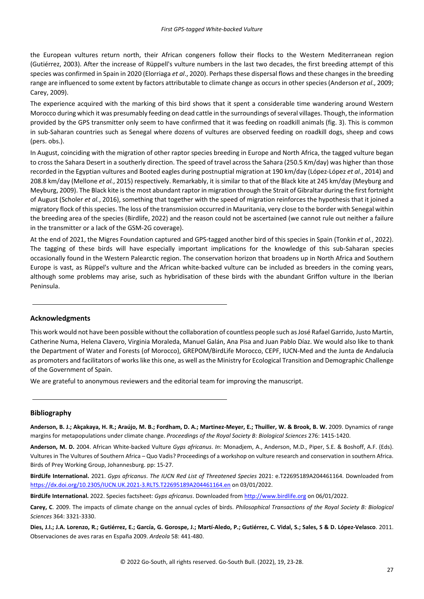the European vultures return north, their African congeners follow their flocks to the Western Mediterranean region (Gutiérrez, 2003). After the increase of Rüppell's vulture numbers in the last two decades, the first breeding attempt of this species was confirmed in Spain in 2020 (Elorriaga *et al*., 2020). Perhaps these dispersal flows and these changes in the breeding range are influenced to some extent by factors attributable to climate change as occurs in other species (Anderson *et al*., 2009; Carey, 2009).

The experience acquired with the marking of this bird shows that it spent a considerable time wandering around Western Morocco during which it was presumably feeding on dead cattle in the surroundings of several villages. Though, the information provided by the GPS transmitter only seem to have confirmed that it was feeding on roadkill animals (fig. 3). This is common in sub-Saharan countries such as Senegal where dozens of vultures are observed feeding on roadkill dogs, sheep and cows (pers. obs.).

In August, coinciding with the migration of other raptor species breeding in Europe and North Africa, the tagged vulture began to cross the Sahara Desert in a southerly direction. The speed of travel across the Sahara (250.5 Km/day) was higher than those recorded in the Egyptian vultures and Booted eagles during postnuptial migration at 190 km/day (López-López *et al.*, 2014) and 208.8 km/day (Mellone *et al.*, 2015) respectively. Remarkably, it is similar to that of the Black kite at 245 km/day (Meyburg and Meyburg, 2009). The Black kite is the most abundant raptor in migration through the Strait of Gibraltar during the first fortnight of August (Scholer *et al.*, 2016), something that together with the speed of migration reinforces the hypothesis that it joined a migratory flock of this species. The loss of the transmission occurred in Mauritania, very close to the border with Senegal within the breeding area of the species (Birdlife, 2022) and the reason could not be ascertained (we cannot rule out neither a failure in the transmitter or a lack of the GSM-2G coverage).

At the end of 2021, the Migres Foundation captured and GPS-tagged another bird of this species in Spain (Tonkin *et al.*, 2022). The tagging of these birds will have especially important implications for the knowledge of this sub-Saharan species occasionally found in the Western Palearctic region. The conservation horizon that broadens up in North Africa and Southern Europe is vast, as Rüppel's vulture and the African white-backed vulture can be included as breeders in the coming years, although some problems may arise, such as hybridisation of these birds with the abundant Griffon vulture in the Iberian Peninsula.

# **Acknowledgments**

This work would not have been possible without the collaboration of countless people such as José Rafael Garrido, Justo Martín, Catherine Numa, Helena Clavero, Virginia Moraleda, Manuel Galán, Ana Pisa and Juan Pablo Díaz. We would also like to thank the Department of Water and Forests (of Morocco), GREPOM/BirdLife Morocco, CEPF, IUCN-Med and the Junta de Andalucía as promoters and facilitators of works like this one, as well as the Ministry for Ecological Transition and Demographic Challenge of the Government of Spain.

We are grateful to anonymous reviewers and the editorial team for improving the manuscript.

#### **Bibliography**

**Anderson, B. J.; Akçakaya, H. R.; Araújo, M. B.; Fordham, D. A.; Martinez-Meyer, E.; Thuiller, W. & Brook, B. W.** 2009. Dynamics of range margins for metapopulations under climate change. *Proceedings of the Royal Society B: Biological Sciences* 276: 1415-1420.

**Anderson, M. D.** 2004. African White-backed Vulture *Gyps africanus*. *In*: Monadjem, A., Anderson, M.D., Piper, S.E. & Boshoff, A.F. (Eds). Vultures in The Vultures of Southern Africa – Quo Vadis? Proceedings of a workshop on vulture research and conservation in southern Africa. Birds of Prey Working Group, Johannesburg. pp: 15-27.

**BirdLife International.** 2021. *Gyps africanus*. *The IUCN Red List of Threatened Species* 2021: e.T22695189A204461164. Downloaded from <https://dx.doi.org/10.2305/IUCN.UK.2021-3.RLTS.T22695189A204461164.en> on 03/01/2022.

**BirdLife International.** 2022. Species factsheet: *Gyps africanus*. Downloaded fro[m http://www.birdlife.org](http://www.birdlife.org/) on 06/01/2022.

**Carey, C**. 2009. The impacts of climate change on the annual cycles of birds. *Philosophical Transactions of the Royal Society B: Biological Sciences* 364: 3321-3330.

**Dies, J.I.; J.A. Lorenzo, R.; Gutiérrez, E.; García, G. Gorospe, J.; Martí-Aledo, P.; Gutiérrez, C. Vidal, S.; Sales, S & D. López-Velasco**. 2011. Observaciones de aves raras en España 2009. *Ardeola* 58: 441-480.